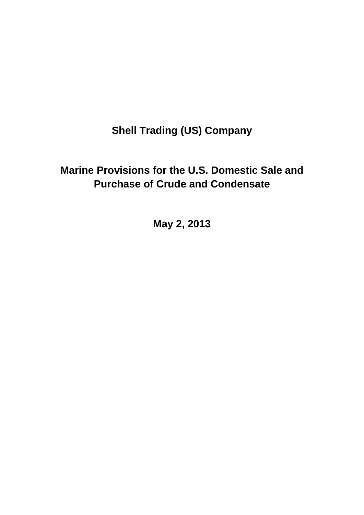## **Shell Trading (US) Company**

## **Marine Provisions for the U.S. Domestic Sale and Purchase of Crude and Condensate**

**May 2, 2013**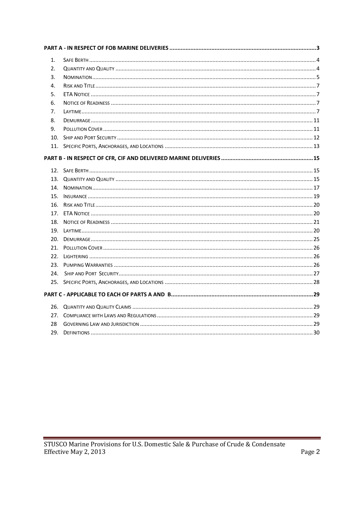<span id="page-1-0"></span>

| 1.              |  |
|-----------------|--|
| 2.              |  |
| 3.              |  |
| 4.              |  |
| 5.              |  |
| 6.              |  |
| 7.              |  |
| 8.              |  |
| 9.              |  |
| 10 <sub>1</sub> |  |
|                 |  |
|                 |  |
|                 |  |
|                 |  |
|                 |  |
|                 |  |
|                 |  |
|                 |  |
|                 |  |
|                 |  |
|                 |  |
|                 |  |
|                 |  |
|                 |  |
|                 |  |
| 24.             |  |
|                 |  |
|                 |  |
|                 |  |
| 27.             |  |
| 28              |  |
|                 |  |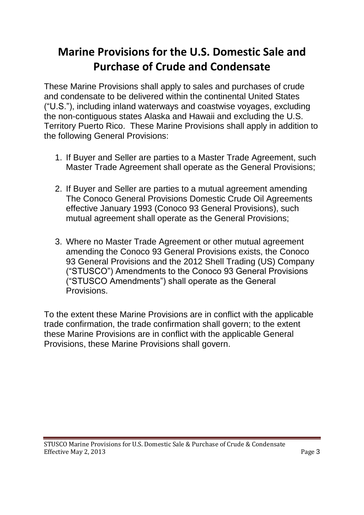# **Marine Provisions for the U.S. Domestic Sale and Purchase of Crude and Condensate**

These Marine Provisions shall apply to sales and purchases of crude and condensate to be delivered within the continental United States ("U.S."), including inland waterways and coastwise voyages, excluding the non-contiguous states Alaska and Hawaii and excluding the U.S. Territory Puerto Rico. These Marine Provisions shall apply in addition to the following General Provisions:

- 1. If Buyer and Seller are parties to a Master Trade Agreement, such Master Trade Agreement shall operate as the General Provisions;
- 2. If Buyer and Seller are parties to a mutual agreement amending The Conoco General Provisions Domestic Crude Oil Agreements effective January 1993 (Conoco 93 General Provisions), such mutual agreement shall operate as the General Provisions;
- 3. Where no Master Trade Agreement or other mutual agreement amending the Conoco 93 General Provisions exists, the Conoco 93 General Provisions and the 2012 Shell Trading (US) Company ("STUSCO") Amendments to the Conoco 93 General Provisions ("STUSCO Amendments") shall operate as the General Provisions.

To the extent these Marine Provisions are in conflict with the applicable trade confirmation, the trade confirmation shall govern; to the extent these Marine Provisions are in conflict with the applicable General Provisions, these Marine Provisions shall govern.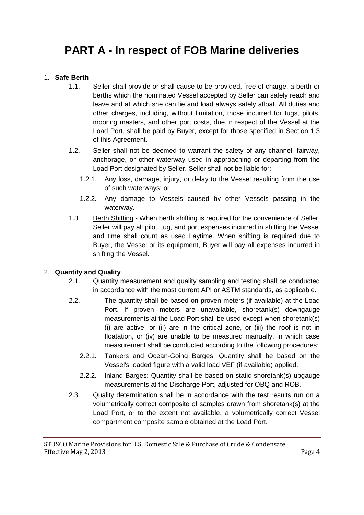## **PART A - In respect of FOB Marine deliveries**

#### 1. **Safe Berth**

- 1.1. Seller shall provide or shall cause to be provided, free of charge, a berth or berths which the nominated Vessel accepted by Seller can safely reach and leave and at which she can lie and load always safely afloat. All duties and other charges, including, without limitation, those incurred for tugs, pilots, mooring masters, and other port costs, due in respect of the Vessel at the Load Port, shall be paid by Buyer, except for those specified in Section 1.3 of this Agreement.
- 1.2. Seller shall not be deemed to warrant the safety of any channel, fairway, anchorage, or other waterway used in approaching or departing from the Load Port designated by Seller. Seller shall not be liable for:
	- 1.2.1. Any loss, damage, injury, or delay to the Vessel resulting from the use of such waterways; or
	- 1.2.2. Any damage to Vessels caused by other Vessels passing in the waterway.
- 1.3. Berth Shifting When berth shifting is required for the convenience of Seller, Seller will pay all pilot, tug, and port expenses incurred in shifting the Vessel and time shall count as used Laytime. When shifting is required due to Buyer, the Vessel or its equipment, Buyer will pay all expenses incurred in shifting the Vessel.

#### 2. **Quantity and Quality**

- 2.1. Quantity measurement and quality sampling and testing shall be conducted in accordance with the most current API or ASTM standards, as applicable.
- 2.2. The quantity shall be based on proven meters (if available) at the Load Port. If proven meters are unavailable, shoretank(s) downgauge measurements at the Load Port shall be used except when shoretank(s) (i) are active, or (ii) are in the critical zone, or (iii) the roof is not in floatation, or (iv) are unable to be measured manually, in which case measurement shall be conducted according to the following procedures:
	- 2.2.1. Tankers and Ocean-Going Barges: Quantity shall be based on the Vessel's loaded figure with a valid load VEF (if available) applied.
	- 2.2.2. Inland Barges: Quantity shall be based on static shoretank(s) upgauge measurements at the Discharge Port, adjusted for OBQ and ROB.
- 2.3. Quality determination shall be in accordance with the test results run on a volumetrically correct composite of samples drawn from shoretank(s) at the Load Port, or to the extent not available, a volumetrically correct Vessel compartment composite sample obtained at the Load Port.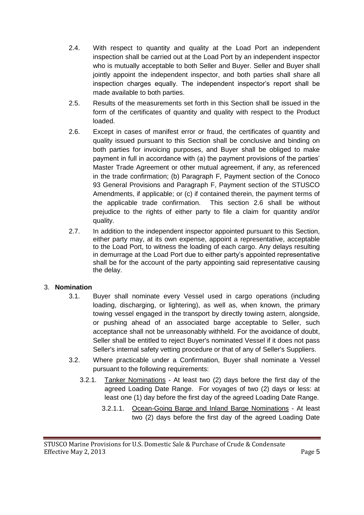- 2.4. With respect to quantity and quality at the Load Port an independent inspection shall be carried out at the Load Port by an independent inspector who is mutually acceptable to both Seller and Buyer. Seller and Buyer shall jointly appoint the independent inspector, and both parties shall share all inspection charges equally. The independent inspector's report shall be made available to both parties.
- 2.5. Results of the measurements set forth in this Section shall be issued in the form of the certificates of quantity and quality with respect to the Product loaded.
- 2.6. Except in cases of manifest error or fraud, the certificates of quantity and quality issued pursuant to this Section shall be conclusive and binding on both parties for invoicing purposes, and Buyer shall be obliged to make payment in full in accordance with (a) the payment provisions of the parties' Master Trade Agreement or other mutual agreement, if any, as referenced in the trade confirmation; (b) Paragraph F, Payment section of the Conoco 93 General Provisions and Paragraph F, Payment section of the STUSCO Amendments, if applicable; or (c) if contained therein, the payment terms of the applicable trade confirmation. This section 2.6 shall be without prejudice to the rights of either party to file a claim for quantity and/or quality.
- 2.7. In addition to the independent inspector appointed pursuant to this Section, either party may, at its own expense, appoint a representative, acceptable to the Load Port, to witness the loading of each cargo. Any delays resulting in demurrage at the Load Port due to either party's appointed representative shall be for the account of the party appointing said representative causing the delay.

#### 3. **Nomination**

- 3.1. Buyer shall nominate every Vessel used in cargo operations (including loading, discharging, or lightering), as well as, when known, the primary towing vessel engaged in the transport by directly towing astern, alongside, or pushing ahead of an associated barge acceptable to Seller, such acceptance shall not be unreasonably withheld. For the avoidance of doubt, Seller shall be entitled to reject Buyer's nominated Vessel if it does not pass Seller's internal safety vetting procedure or that of any of Seller's Suppliers.
- 3.2. Where practicable under a Confirmation, Buyer shall nominate a Vessel pursuant to the following requirements:
	- 3.2.1. Tanker Nominations At least two (2) days before the first day of the agreed Loading Date Range. For voyages of two (2) days or less: at least one (1) day before the first day of the agreed Loading Date Range.
		- 3.2.1.1. Ocean-Going Barge and Inland Barge Nominations At least two (2) days before the first day of the agreed Loading Date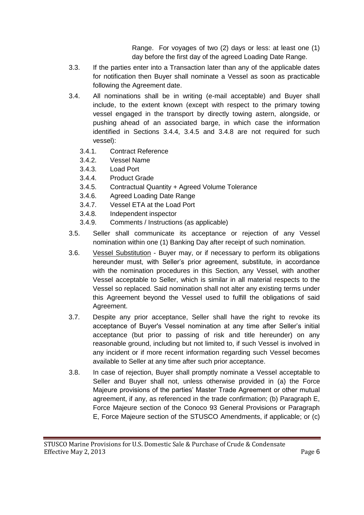Range. For voyages of two (2) days or less: at least one (1) day before the first day of the agreed Loading Date Range.

- 3.3. If the parties enter into a Transaction later than any of the applicable dates for notification then Buyer shall nominate a Vessel as soon as practicable following the Agreement date.
- 3.4. All nominations shall be in writing (e-mail acceptable) and Buyer shall include, to the extent known (except with respect to the primary towing vessel engaged in the transport by directly towing astern, alongside, or pushing ahead of an associated barge, in which case the information identified in Sections 3.4.4, 3.4.5 and 3.4.8 are not required for such vessel):
	- 3.4.1. Contract Reference
	- 3.4.2. Vessel Name
	- 3.4.3. Load Port
	- 3.4.4. Product Grade
	- 3.4.5. Contractual Quantity + Agreed Volume Tolerance
	- 3.4.6. Agreed Loading Date Range
	- 3.4.7. Vessel ETA at the Load Port
	- 3.4.8. Independent inspector
	- 3.4.9. Comments / Instructions (as applicable)
- 3.5. Seller shall communicate its acceptance or rejection of any Vessel nomination within one (1) Banking Day after receipt of such nomination.
- 3.6. Vessel Substitution Buyer may, or if necessary to perform its obligations hereunder must, with Seller's prior agreement, substitute, in accordance with the nomination procedures in this Section, any Vessel, with another Vessel acceptable to Seller, which is similar in all material respects to the Vessel so replaced. Said nomination shall not alter any existing terms under this Agreement beyond the Vessel used to fulfill the obligations of said Agreement.
- 3.7. Despite any prior acceptance, Seller shall have the right to revoke its acceptance of Buyer's Vessel nomination at any time after Seller's initial acceptance (but prior to passing of risk and title hereunder) on any reasonable ground, including but not limited to, if such Vessel is involved in any incident or if more recent information regarding such Vessel becomes available to Seller at any time after such prior acceptance.
- 3.8. In case of rejection, Buyer shall promptly nominate a Vessel acceptable to Seller and Buyer shall not, unless otherwise provided in (a) the Force Majeure provisions of the parties' Master Trade Agreement or other mutual agreement, if any, as referenced in the trade confirmation; (b) Paragraph E, Force Majeure section of the Conoco 93 General Provisions or Paragraph E, Force Majeure section of the STUSCO Amendments, if applicable; or (c)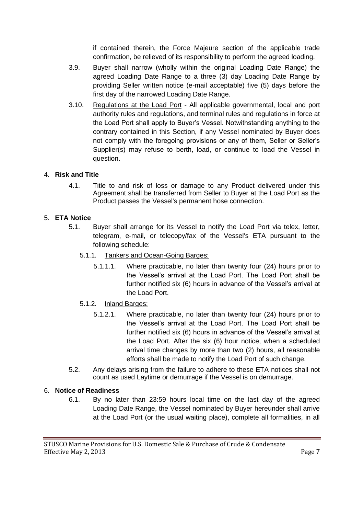if contained therein, the Force Majeure section of the applicable trade confirmation, be relieved of its responsibility to perform the agreed loading.

- 3.9. Buyer shall narrow (wholly within the original Loading Date Range) the agreed Loading Date Range to a three (3) day Loading Date Range by providing Seller written notice (e-mail acceptable) five (5) days before the first day of the narrowed Loading Date Range.
- 3.10. Regulations at the Load Port All applicable governmental, local and port authority rules and regulations, and terminal rules and regulations in force at the Load Port shall apply to Buyer's Vessel. Notwithstanding anything to the contrary contained in this Section, if any Vessel nominated by Buyer does not comply with the foregoing provisions or any of them, Seller or Seller's Supplier(s) may refuse to berth, load, or continue to load the Vessel in question.

#### 4. **Risk and Title**

4.1. Title to and risk of loss or damage to any Product delivered under this Agreement shall be transferred from Seller to Buyer at the Load Port as the Product passes the Vessel's permanent hose connection.

## 5. **ETA Notice**

- 5.1. Buyer shall arrange for its Vessel to notify the Load Port via telex, letter, telegram, e-mail, or telecopy/fax of the Vessel's ETA pursuant to the following schedule:
	- 5.1.1. Tankers and Ocean-Going Barges:
		- 5.1.1.1. Where practicable, no later than twenty four (24) hours prior to the Vessel's arrival at the Load Port. The Load Port shall be further notified six (6) hours in advance of the Vessel's arrival at the Load Port.
	- 5.1.2. Inland Barges:
		- 5.1.2.1. Where practicable, no later than twenty four (24) hours prior to the Vessel's arrival at the Load Port. The Load Port shall be further notified six (6) hours in advance of the Vessel's arrival at the Load Port. After the six (6) hour notice, when a scheduled arrival time changes by more than two (2) hours, all reasonable efforts shall be made to notify the Load Port of such change.
- 5.2. Any delays arising from the failure to adhere to these ETA notices shall not count as used Laytime or demurrage if the Vessel is on demurrage.

#### 6. **Notice of Readiness**

6.1. By no later than 23:59 hours local time on the last day of the agreed Loading Date Range, the Vessel nominated by Buyer hereunder shall arrive at the Load Port (or the usual waiting place), complete all formalities, in all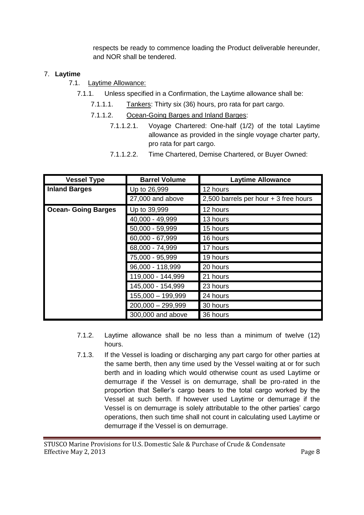respects be ready to commence loading the Product deliverable hereunder, and NOR shall be tendered.

#### 7. **Laytime**

- 7.1. Laytime Allowance:
	- 7.1.1. Unless specified in a Confirmation, the Laytime allowance shall be:
		- 7.1.1.1. Tankers: Thirty six (36) hours, pro rata for part cargo.
		- 7.1.1.2. Ocean-Going Barges and Inland Barges:
			- 7.1.1.2.1. Voyage Chartered: One-half (1/2) of the total Laytime allowance as provided in the single voyage charter party, pro rata for part cargo.
			- 7.1.1.2.2. Time Chartered, Demise Chartered, or Buyer Owned:

| <b>Vessel Type</b>         | <b>Barrel Volume</b> | <b>Laytime Allowance</b>              |
|----------------------------|----------------------|---------------------------------------|
| <b>Inland Barges</b>       | Up to 26,999         | 12 hours                              |
|                            | 27,000 and above     | 2,500 barrels per hour + 3 free hours |
| <b>Ocean- Going Barges</b> | Up to 39,999         | 12 hours                              |
|                            | 40,000 - 49,999      | 13 hours                              |
|                            | 50,000 - 59,999      | 15 hours                              |
|                            | 60,000 - 67,999      | 16 hours                              |
|                            | 68,000 - 74,999      | 17 hours                              |
|                            | 75,000 - 95,999      | 19 hours                              |
|                            | 96,000 - 118,999     | 20 hours                              |
|                            | 119,000 - 144,999    | 21 hours                              |
|                            | 145,000 - 154,999    | 23 hours                              |
|                            | 155,000 - 199,999    | 24 hours                              |
|                            | $200,000 - 299,999$  | 30 hours                              |
|                            | 300,000 and above    | 36 hours                              |

- 7.1.2. Laytime allowance shall be no less than a minimum of twelve (12) hours.
- 7.1.3. If the Vessel is loading or discharging any part cargo for other parties at the same berth, then any time used by the Vessel waiting at or for such berth and in loading which would otherwise count as used Laytime or demurrage if the Vessel is on demurrage, shall be pro-rated in the proportion that Seller's cargo bears to the total cargo worked by the Vessel at such berth. If however used Laytime or demurrage if the Vessel is on demurrage is solely attributable to the other parties' cargo operations, then such time shall not count in calculating used Laytime or demurrage if the Vessel is on demurrage.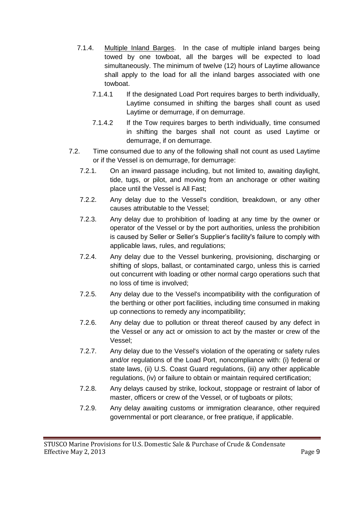- 7.1.4. Multiple Inland Barges. In the case of multiple inland barges being towed by one towboat, all the barges will be expected to load simultaneously. The minimum of twelve (12) hours of Laytime allowance shall apply to the load for all the inland barges associated with one towboat.
	- 7.1.4.1 If the designated Load Port requires barges to berth individually, Laytime consumed in shifting the barges shall count as used Laytime or demurrage, if on demurrage.
	- 7.1.4.2 If the Tow requires barges to berth individually, time consumed in shifting the barges shall not count as used Laytime or demurrage, if on demurrage.
- 7.2. Time consumed due to any of the following shall not count as used Laytime or if the Vessel is on demurrage, for demurrage:
	- 7.2.1. On an inward passage including, but not limited to, awaiting daylight, tide, tugs, or pilot, and moving from an anchorage or other waiting place until the Vessel is All Fast;
	- 7.2.2. Any delay due to the Vessel's condition, breakdown, or any other causes attributable to the Vessel;
	- 7.2.3. Any delay due to prohibition of loading at any time by the owner or operator of the Vessel or by the port authorities, unless the prohibition is caused by Seller or Seller's Supplier's facility's failure to comply with applicable laws, rules, and regulations;
	- 7.2.4. Any delay due to the Vessel bunkering, provisioning, discharging or shifting of slops, ballast, or contaminated cargo, unless this is carried out concurrent with loading or other normal cargo operations such that no loss of time is involved;
	- 7.2.5. Any delay due to the Vessel's incompatibility with the configuration of the berthing or other port facilities, including time consumed in making up connections to remedy any incompatibility;
	- 7.2.6. Any delay due to pollution or threat thereof caused by any defect in the Vessel or any act or omission to act by the master or crew of the Vessel;
	- 7.2.7. Any delay due to the Vessel's violation of the operating or safety rules and/or regulations of the Load Port, noncompliance with: (i) federal or state laws, (ii) U.S. Coast Guard regulations, (iii) any other applicable regulations, (iv) or failure to obtain or maintain required certification;
	- 7.2.8. Any delays caused by strike, lockout, stoppage or restraint of labor of master, officers or crew of the Vessel, or of tugboats or pilots;
	- 7.2.9. Any delay awaiting customs or immigration clearance, other required governmental or port clearance, or free pratique, if applicable.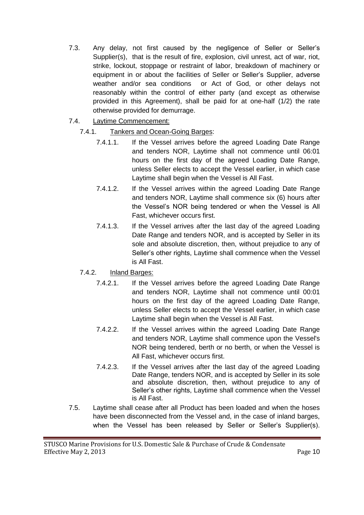- 7.3. Any delay, not first caused by the negligence of Seller or Seller's Supplier(s), that is the result of fire, explosion, civil unrest, act of war, riot, strike, lockout, stoppage or restraint of labor, breakdown of machinery or equipment in or about the facilities of Seller or Seller's Supplier, adverse weather and/or sea conditions or Act of God, or other delays not reasonably within the control of either party (and except as otherwise provided in this Agreement), shall be paid for at one-half (1/2) the rate otherwise provided for demurrage.
- 7.4. Laytime Commencement:

## 7.4.1. Tankers and Ocean-Going Barges:

- 7.4.1.1. If the Vessel arrives before the agreed Loading Date Range and tenders NOR, Laytime shall not commence until 06:01 hours on the first day of the agreed Loading Date Range, unless Seller elects to accept the Vessel earlier, in which case Laytime shall begin when the Vessel is All Fast.
- 7.4.1.2. If the Vessel arrives within the agreed Loading Date Range and tenders NOR, Laytime shall commence six (6) hours after the Vessel's NOR being tendered or when the Vessel is All Fast, whichever occurs first.
- 7.4.1.3. If the Vessel arrives after the last day of the agreed Loading Date Range and tenders NOR, and is accepted by Seller in its sole and absolute discretion, then, without prejudice to any of Seller's other rights, Laytime shall commence when the Vessel is All Fast.

## 7.4.2. Inland Barges:

- 7.4.2.1. If the Vessel arrives before the agreed Loading Date Range and tenders NOR, Laytime shall not commence until 00:01 hours on the first day of the agreed Loading Date Range, unless Seller elects to accept the Vessel earlier, in which case Laytime shall begin when the Vessel is All Fast.
- 7.4.2.2. If the Vessel arrives within the agreed Loading Date Range and tenders NOR, Laytime shall commence upon the Vessel's NOR being tendered, berth or no berth, or when the Vessel is All Fast, whichever occurs first.
- 7.4.2.3. If the Vessel arrives after the last day of the agreed Loading Date Range, tenders NOR, and is accepted by Seller in its sole and absolute discretion, then, without prejudice to any of Seller's other rights, Laytime shall commence when the Vessel is All Fast.
- 7.5. Laytime shall cease after all Product has been loaded and when the hoses have been disconnected from the Vessel and, in the case of inland barges, when the Vessel has been released by Seller or Seller's Supplier(s).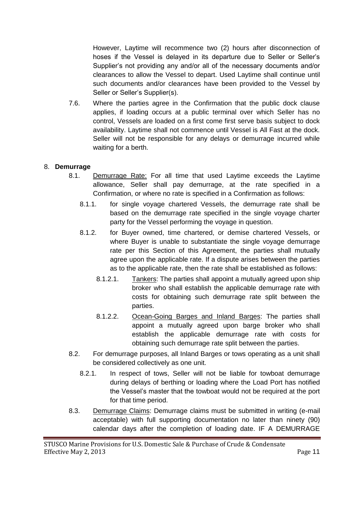However, Laytime will recommence two (2) hours after disconnection of hoses if the Vessel is delayed in its departure due to Seller or Seller's Supplier's not providing any and/or all of the necessary documents and/or clearances to allow the Vessel to depart. Used Laytime shall continue until such documents and/or clearances have been provided to the Vessel by Seller or Seller's Supplier(s).

7.6. Where the parties agree in the Confirmation that the public dock clause applies, if loading occurs at a public terminal over which Seller has no control, Vessels are loaded on a first come first serve basis subject to dock availability. Laytime shall not commence until Vessel is All Fast at the dock. Seller will not be responsible for any delays or demurrage incurred while waiting for a berth.

#### 8. **Demurrage**

- 8.1. Demurrage Rate: For all time that used Laytime exceeds the Laytime allowance, Seller shall pay demurrage, at the rate specified in a Confirmation, or where no rate is specified in a Confirmation as follows:
	- 8.1.1. for single voyage chartered Vessels, the demurrage rate shall be based on the demurrage rate specified in the single voyage charter party for the Vessel performing the voyage in question.
	- 8.1.2. for Buyer owned, time chartered, or demise chartered Vessels, or where Buyer is unable to substantiate the single voyage demurrage rate per this Section of this Agreement, the parties shall mutually agree upon the applicable rate. If a dispute arises between the parties as to the applicable rate, then the rate shall be established as follows:
		- 8.1.2.1. Tankers: The parties shall appoint a mutually agreed upon ship broker who shall establish the applicable demurrage rate with costs for obtaining such demurrage rate split between the parties.
		- 8.1.2.2. Ocean-Going Barges and Inland Barges: The parties shall appoint a mutually agreed upon barge broker who shall establish the applicable demurrage rate with costs for obtaining such demurrage rate split between the parties.
- 8.2. For demurrage purposes, all Inland Barges or tows operating as a unit shall be considered collectively as one unit.
	- 8.2.1. In respect of tows, Seller will not be liable for towboat demurrage during delays of berthing or loading where the Load Port has notified the Vessel's master that the towboat would not be required at the port for that time period.
- 8.3. Demurrage Claims: Demurrage claims must be submitted in writing (e-mail acceptable) with full supporting documentation no later than ninety (90) calendar days after the completion of loading date. IF A DEMURRAGE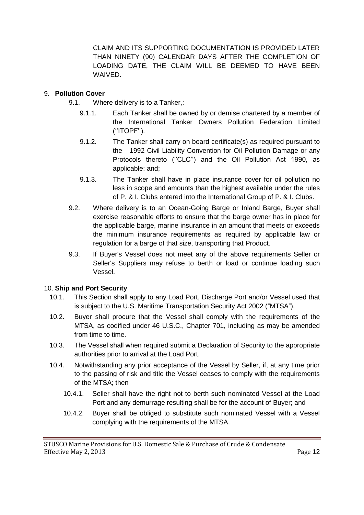CLAIM AND ITS SUPPORTING DOCUMENTATION IS PROVIDED LATER THAN NINETY (90) CALENDAR DAYS AFTER THE COMPLETION OF LOADING DATE, THE CLAIM WILL BE DEEMED TO HAVE BEEN WAIVED.

### 9. **Pollution Cover**

- 9.1. Where delivery is to a Tanker,:
	- 9.1.1. Each Tanker shall be owned by or demise chartered by a member of the International Tanker Owners Pollution Federation Limited (''ITOPF'').
	- 9.1.2. The Tanker shall carry on board certificate(s) as required pursuant to the 1992 Civil Liability Convention for Oil Pollution Damage or any Protocols thereto ("CLC") and the Oil Pollution Act 1990, as applicable; and;
	- 9.1.3. The Tanker shall have in place insurance cover for oil pollution no less in scope and amounts than the highest available under the rules of P. & I. Clubs entered into the International Group of P. & I. Clubs.
- 9.2. Where delivery is to an Ocean-Going Barge or Inland Barge, Buyer shall exercise reasonable efforts to ensure that the barge owner has in place for the applicable barge, marine insurance in an amount that meets or exceeds the minimum insurance requirements as required by applicable law or regulation for a barge of that size, transporting that Product.
- 9.3. If Buyer's Vessel does not meet any of the above requirements Seller or Seller's Suppliers may refuse to berth or load or continue loading such Vessel.

#### 10. **Ship and Port Security**

- 10.1. This Section shall apply to any Load Port, Discharge Port and/or Vessel used that is subject to the U.S. Maritime Transportation Security Act 2002 ("MTSA").
- 10.2. Buyer shall procure that the Vessel shall comply with the requirements of the MTSA, as codified under 46 U.S.C., Chapter 701, including as may be amended from time to time.
- 10.3. The Vessel shall when required submit a Declaration of Security to the appropriate authorities prior to arrival at the Load Port.
- 10.4. Notwithstanding any prior acceptance of the Vessel by Seller, if, at any time prior to the passing of risk and title the Vessel ceases to comply with the requirements of the MTSA; then
	- 10.4.1. Seller shall have the right not to berth such nominated Vessel at the Load Port and any demurrage resulting shall be for the account of Buyer; and
	- 10.4.2. Buyer shall be obliged to substitute such nominated Vessel with a Vessel complying with the requirements of the MTSA.

STUSCO Marine Provisions for U.S. Domestic Sale & Purchase of Crude & Condensate Effective May 2, 2013 **Page 12**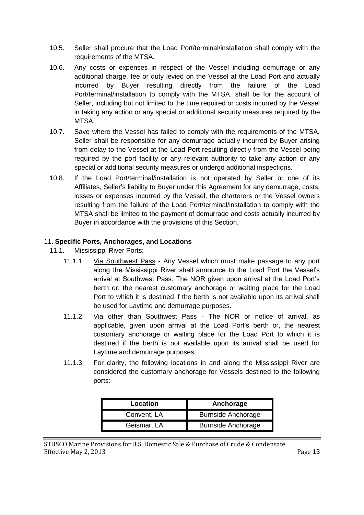- 10.5. Seller shall procure that the Load Port/terminal/installation shall comply with the requirements of the MTSA.
- 10.6. Any costs or expenses in respect of the Vessel including demurrage or any additional charge, fee or duty levied on the Vessel at the Load Port and actually incurred by Buyer resulting directly from the failure of the Load Port/terminal/installation to comply with the MTSA, shall be for the account of Seller, including but not limited to the time required or costs incurred by the Vessel in taking any action or any special or additional security measures required by the MTSA.
- 10.7. Save where the Vessel has failed to comply with the requirements of the MTSA, Seller shall be responsible for any demurrage actually incurred by Buyer arising from delay to the Vessel at the Load Port resulting directly from the Vessel being required by the port facility or any relevant authority to take any action or any special or additional security measures or undergo additional inspections.
- 10.8. If the Load Port/terminal/installation is not operated by Seller or one of its Affiliates, Seller's liability to Buyer under this Agreement for any demurrage, costs, losses or expenses incurred by the Vessel, the charterers or the Vessel owners resulting from the failure of the Load Port/terminal/installation to comply with the MTSA shall be limited to the payment of demurrage and costs actually incurred by Buyer in accordance with the provisions of this Section.

## 11. **Specific Ports, Anchorages, and Locations**

- 11.1. Mississippi River Ports:
	- 11.1.1. Via Southwest Pass Any Vessel which must make passage to any port along the Mississippi River shall announce to the Load Port the Vessel's arrival at Southwest Pass. The NOR given upon arrival at the Load Port's berth or, the nearest customary anchorage or waiting place for the Load Port to which it is destined if the berth is not available upon its arrival shall be used for Laytime and demurrage purposes.
	- 11.1.2. Via other than Southwest Pass The NOR or notice of arrival, as applicable, given upon arrival at the Load Port's berth or, the nearest customary anchorage or waiting place for the Load Port to which it is destined if the berth is not available upon its arrival shall be used for Laytime and demurrage purposes.
	- 11.1.3. For clarity, the following locations in and along the Mississippi River are considered the customary anchorage for Vessels destined to the following ports:

| Location    | Anchorage                 |
|-------------|---------------------------|
| Convent, LA | <b>Burnside Anchorage</b> |
| Geismar, LA | <b>Burnside Anchorage</b> |

STUSCO Marine Provisions for U.S. Domestic Sale & Purchase of Crude & Condensate Effective May 2, 2013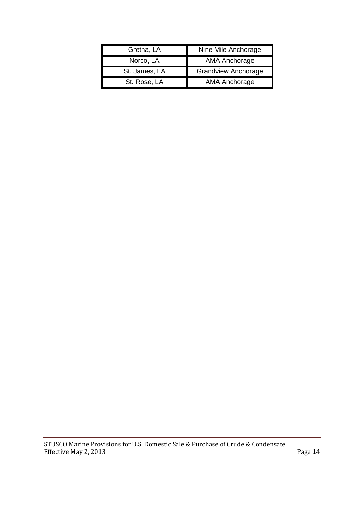| Gretna, LA    | Nine Mile Anchorage        |  |
|---------------|----------------------------|--|
| Norco, LA     | AMA Anchorage              |  |
| St. James, LA | <b>Grandview Anchorage</b> |  |
| St. Rose, LA  | AMA Anchorage              |  |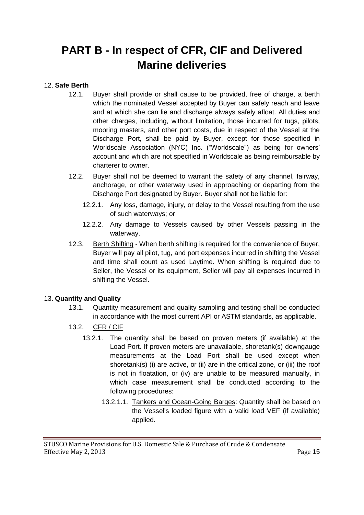## <span id="page-14-0"></span>**PART B - In respect of CFR, CIF and Delivered Marine deliveries**

### <span id="page-14-1"></span>12. **Safe Berth**

- 12.1. Buyer shall provide or shall cause to be provided, free of charge, a berth which the nominated Vessel accepted by Buyer can safely reach and leave and at which she can lie and discharge always safely afloat. All duties and other charges, including, without limitation, those incurred for tugs, pilots, mooring masters, and other port costs, due in respect of the Vessel at the Discharge Port, shall be paid by Buyer, except for those specified in Worldscale Association (NYC) Inc. ("Worldscale") as being for owners' account and which are not specified in Worldscale as being reimbursable by charterer to owner.
- 12.2. Buyer shall not be deemed to warrant the safety of any channel, fairway, anchorage, or other waterway used in approaching or departing from the Discharge Port designated by Buyer. Buyer shall not be liable for:
	- 12.2.1. Any loss, damage, injury, or delay to the Vessel resulting from the use of such waterways; or
	- 12.2.2. Any damage to Vessels caused by other Vessels passing in the waterway.
- 12.3. Berth Shifting When berth shifting is required for the convenience of Buyer, Buyer will pay all pilot, tug, and port expenses incurred in shifting the Vessel and time shall count as used Laytime. When shifting is required due to Seller, the Vessel or its equipment, Seller will pay all expenses incurred in shifting the Vessel.

#### <span id="page-14-2"></span>13. **Quantity and Quality**

- 13.1. Quantity measurement and quality sampling and testing shall be conducted in accordance with the most current API or ASTM standards, as applicable.
- 13.2. CFR / CIF
	- 13.2.1. The quantity shall be based on proven meters (if available) at the Load Port. If proven meters are unavailable, shoretank(s) downgauge measurements at the Load Port shall be used except when shoretank(s) (i) are active, or (ii) are in the critical zone, or (iii) the roof is not in floatation, or (iv) are unable to be measured manually, in which case measurement shall be conducted according to the following procedures:
		- 13.2.1.1. Tankers and Ocean-Going Barges: Quantity shall be based on the Vessel's loaded figure with a valid load VEF (if available) applied.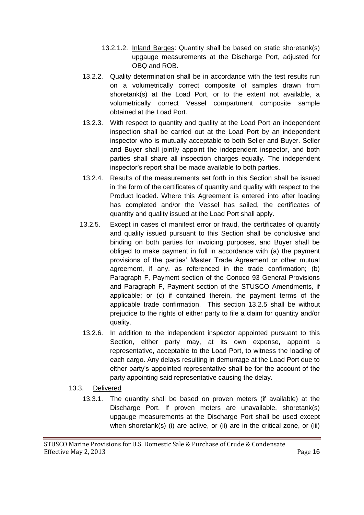- 13.2.1.2. Inland Barges: Quantity shall be based on static shoretank(s) upgauge measurements at the Discharge Port, adjusted for OBQ and ROB.
- 13.2.2. Quality determination shall be in accordance with the test results run on a volumetrically correct composite of samples drawn from shoretank(s) at the Load Port, or to the extent not available, a volumetrically correct Vessel compartment composite sample obtained at the Load Port.
- 13.2.3. With respect to quantity and quality at the Load Port an independent inspection shall be carried out at the Load Port by an independent inspector who is mutually acceptable to both Seller and Buyer. Seller and Buyer shall jointly appoint the independent inspector, and both parties shall share all inspection charges equally. The independent inspector's report shall be made available to both parties.
- 13.2.4. Results of the measurements set forth in this Section shall be issued in the form of the certificates of quantity and quality with respect to the Product loaded. Where this Agreement is entered into after loading has completed and/or the Vessel has sailed, the certificates of quantity and quality issued at the Load Port shall apply.
- 13.2.5. Except in cases of manifest error or fraud, the certificates of quantity and quality issued pursuant to this Section shall be conclusive and binding on both parties for invoicing purposes, and Buyer shall be obliged to make payment in full in accordance with (a) the payment provisions of the parties' Master Trade Agreement or other mutual agreement, if any, as referenced in the trade confirmation; (b) Paragraph F, Payment section of the Conoco 93 General Provisions and Paragraph F, Payment section of the STUSCO Amendments, if applicable; or (c) if contained therein, the payment terms of the applicable trade confirmation. This section 13.2.5 shall be without prejudice to the rights of either party to file a claim for quantity and/or quality.
- 13.2.6. In addition to the independent inspector appointed pursuant to this Section, either party may, at its own expense, appoint a representative, acceptable to the Load Port, to witness the loading of each cargo. Any delays resulting in demurrage at the Load Port due to either party's appointed representative shall be for the account of the party appointing said representative causing the delay.
- 13.3. Delivered
	- 13.3.1. The quantity shall be based on proven meters (if available) at the Discharge Port. If proven meters are unavailable, shoretank(s) upgauge measurements at the Discharge Port shall be used except when shoretank(s) (i) are active, or (ii) are in the critical zone, or (iii)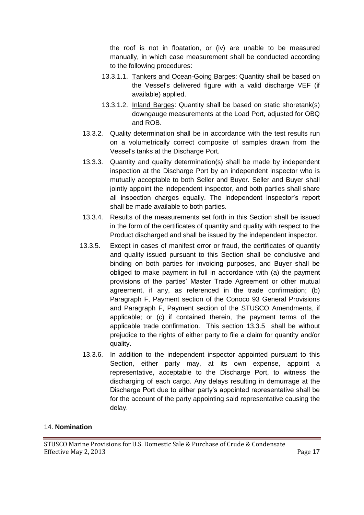the roof is not in floatation, or (iv) are unable to be measured manually, in which case measurement shall be conducted according to the following procedures:

- 13.3.1.1. Tankers and Ocean-Going Barges: Quantity shall be based on the Vessel's delivered figure with a valid discharge VEF (if available) applied.
- 13.3.1.2. Inland Barges: Quantity shall be based on static shoretank(s) downgauge measurements at the Load Port, adjusted for OBQ and ROB.
- 13.3.2. Quality determination shall be in accordance with the test results run on a volumetrically correct composite of samples drawn from the Vessel's tanks at the Discharge Port.
- 13.3.3. Quantity and quality determination(s) shall be made by independent inspection at the Discharge Port by an independent inspector who is mutually acceptable to both Seller and Buyer. Seller and Buyer shall jointly appoint the independent inspector, and both parties shall share all inspection charges equally. The independent inspector's report shall be made available to both parties.
- 13.3.4. Results of the measurements set forth in this Section shall be issued in the form of the certificates of quantity and quality with respect to the Product discharged and shall be issued by the independent inspector.
- 13.3.5. Except in cases of manifest error or fraud, the certificates of quantity and quality issued pursuant to this Section shall be conclusive and binding on both parties for invoicing purposes, and Buyer shall be obliged to make payment in full in accordance with (a) the payment provisions of the parties' Master Trade Agreement or other mutual agreement, if any, as referenced in the trade confirmation; (b) Paragraph F, Payment section of the Conoco 93 General Provisions and Paragraph F, Payment section of the STUSCO Amendments, if applicable; or (c) if contained therein, the payment terms of the applicable trade confirmation. This section 13.3.5 shall be without prejudice to the rights of either party to file a claim for quantity and/or quality.
- 13.3.6. In addition to the independent inspector appointed pursuant to this Section, either party may, at its own expense, appoint a representative, acceptable to the Discharge Port, to witness the discharging of each cargo. Any delays resulting in demurrage at the Discharge Port due to either party's appointed representative shall be for the account of the party appointing said representative causing the delay.

### <span id="page-16-0"></span>14. **Nomination**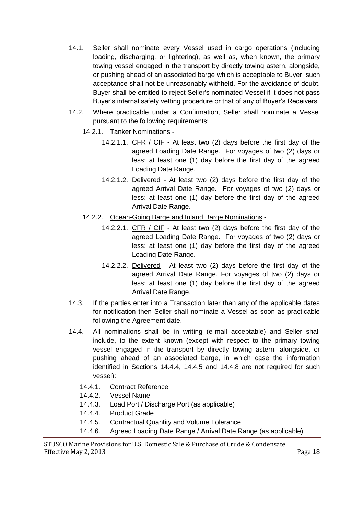- 14.1. Seller shall nominate every Vessel used in cargo operations (including loading, discharging, or lightering), as well as, when known, the primary towing vessel engaged in the transport by directly towing astern, alongside, or pushing ahead of an associated barge which is acceptable to Buyer, such acceptance shall not be unreasonably withheld. For the avoidance of doubt, Buyer shall be entitled to reject Seller's nominated Vessel if it does not pass Buyer's internal safety vetting procedure or that of any of Buyer's Receivers.
- 14.2. Where practicable under a Confirmation, Seller shall nominate a Vessel pursuant to the following requirements:
	- 14.2.1. Tanker Nominations
		- 14.2.1.1. CFR / CIF At least two (2) days before the first day of the agreed Loading Date Range. For voyages of two (2) days or less: at least one (1) day before the first day of the agreed Loading Date Range.
		- 14.2.1.2. Delivered At least two (2) days before the first day of the agreed Arrival Date Range. For voyages of two (2) days or less: at least one (1) day before the first day of the agreed Arrival Date Range.
	- 14.2.2. Ocean-Going Barge and Inland Barge Nominations
		- 14.2.2.1. CFR / CIF At least two (2) days before the first day of the agreed Loading Date Range. For voyages of two (2) days or less: at least one (1) day before the first day of the agreed Loading Date Range.
		- 14.2.2.2. Delivered At least two (2) days before the first day of the agreed Arrival Date Range. For voyages of two (2) days or less: at least one (1) day before the first day of the agreed Arrival Date Range.
- 14.3. If the parties enter into a Transaction later than any of the applicable dates for notification then Seller shall nominate a Vessel as soon as practicable following the Agreement date.
- 14.4. All nominations shall be in writing (e-mail acceptable) and Seller shall include, to the extent known (except with respect to the primary towing vessel engaged in the transport by directly towing astern, alongside, or pushing ahead of an associated barge, in which case the information identified in Sections 14.4.4, 14.4.5 and 14.4.8 are not required for such vessel):
	- 14.4.1. Contract Reference
	- 14.4.2. Vessel Name
	- 14.4.3. Load Port / Discharge Port (as applicable)
	- 14.4.4. Product Grade
	- 14.4.5. Contractual Quantity and Volume Tolerance
	- 14.4.6. Agreed Loading Date Range / Arrival Date Range (as applicable)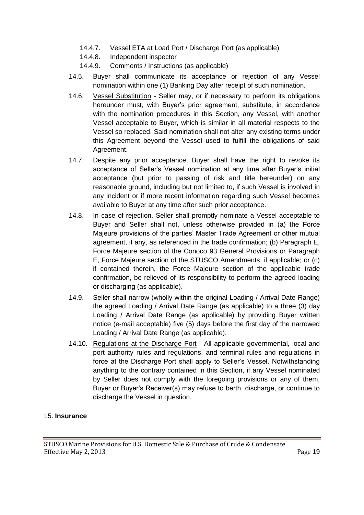- 14.4.7. Vessel ETA at Load Port / Discharge Port (as applicable)
- 14.4.8. Independent inspector
- 14.4.9. Comments / Instructions (as applicable)
- 14.5. Buyer shall communicate its acceptance or rejection of any Vessel nomination within one (1) Banking Day after receipt of such nomination.
- 14.6. Vessel Substitution Seller may, or if necessary to perform its obligations hereunder must, with Buyer's prior agreement, substitute, in accordance with the nomination procedures in this Section, any Vessel, with another Vessel acceptable to Buyer, which is similar in all material respects to the Vessel so replaced. Said nomination shall not alter any existing terms under this Agreement beyond the Vessel used to fulfill the obligations of said Agreement.
- 14.7. Despite any prior acceptance, Buyer shall have the right to revoke its acceptance of Seller's Vessel nomination at any time after Buyer's initial acceptance (but prior to passing of risk and title hereunder) on any reasonable ground, including but not limited to, if such Vessel is involved in any incident or if more recent information regarding such Vessel becomes available to Buyer at any time after such prior acceptance.
- 14.8. In case of rejection, Seller shall promptly nominate a Vessel acceptable to Buyer and Seller shall not, unless otherwise provided in (a) the Force Majeure provisions of the parties' Master Trade Agreement or other mutual agreement, if any, as referenced in the trade confirmation; (b) Paragraph E, Force Majeure section of the Conoco 93 General Provisions or Paragraph E, Force Majeure section of the STUSCO Amendments, if applicable; or (c) if contained therein, the Force Majeure section of the applicable trade confirmation, be relieved of its responsibility to perform the agreed loading or discharging (as applicable).
- 14.9. Seller shall narrow (wholly within the original Loading / Arrival Date Range) the agreed Loading / Arrival Date Range (as applicable) to a three (3) day Loading / Arrival Date Range (as applicable) by providing Buyer written notice (e-mail acceptable) five (5) days before the first day of the narrowed Loading / Arrival Date Range (as applicable).
- 14.10. Regulations at the Discharge Port All applicable governmental, local and port authority rules and regulations, and terminal rules and regulations in force at the Discharge Port shall apply to Seller's Vessel. Notwithstanding anything to the contrary contained in this Section, if any Vessel nominated by Seller does not comply with the foregoing provisions or any of them, Buyer or Buyer's Receiver(s) may refuse to berth, discharge, or continue to discharge the Vessel in question.

## <span id="page-18-0"></span>15. **Insurance**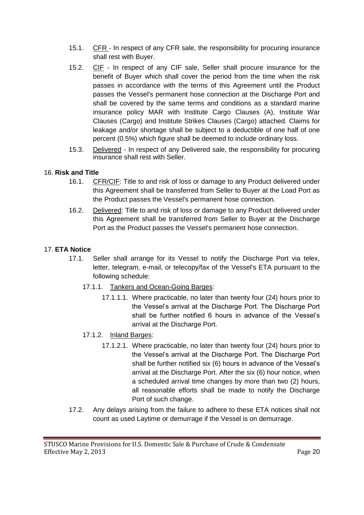- 15.1. CFR In respect of any CFR sale, the responsibility for procuring insurance shall rest with Buyer.
- 15.2. CIF In respect of any CIF sale, Seller shall procure insurance for the benefit of Buyer which shall cover the period from the time when the risk passes in accordance with the terms of this Agreement until the Product passes the Vessel's permanent hose connection at the Discharge Port and shall be covered by the same terms and conditions as a standard marine insurance policy MAR with Institute Cargo Clauses (A), Institute War Clauses (Cargo) and Institute Strikes Clauses (Cargo) attached. Claims for leakage and/or shortage shall be subject to a deductible of one half of one percent (0.5%) which figure shall be deemed to include ordinary loss.
- 15.3. Delivered In respect of any Delivered sale, the responsibility for procuring insurance shall rest with Seller.

#### <span id="page-19-0"></span>16. **Risk and Title**

- 16.1. CFR/CIF: Title to and risk of loss or damage to any Product delivered under this Agreement shall be transferred from Seller to Buyer at the Load Port as the Product passes the Vessel's permanent hose connection.
- 16.2. Delivered: Title to and risk of loss or damage to any Product delivered under this Agreement shall be transferred from Seller to Buyer at the Discharge Port as the Product passes the Vessel's permanent hose connection.

#### <span id="page-19-1"></span>17. **ETA Notice**

- 17.1. Seller shall arrange for its Vessel to notify the Discharge Port via telex, letter, telegram, e-mail, or telecopy/fax of the Vessel's ETA pursuant to the following schedule:
	- 17.1.1. Tankers and Ocean-Going Barges:
		- 17.1.1.1. Where practicable, no later than twenty four (24) hours prior to the Vessel's arrival at the Discharge Port. The Discharge Port shall be further notified 6 hours in advance of the Vessel's arrival at the Discharge Port.
	- 17.1.2. Inland Barges:
		- 17.1.2.1. Where practicable, no later than twenty four (24) hours prior to the Vessel's arrival at the Discharge Port. The Discharge Port shall be further notified six (6) hours in advance of the Vessel's arrival at the Discharge Port. After the six (6) hour notice, when a scheduled arrival time changes by more than two (2) hours, all reasonable efforts shall be made to notify the Discharge Port of such change.
- 17.2. Any delays arising from the failure to adhere to these ETA notices shall not count as used Laytime or demurrage if the Vessel is on demurrage.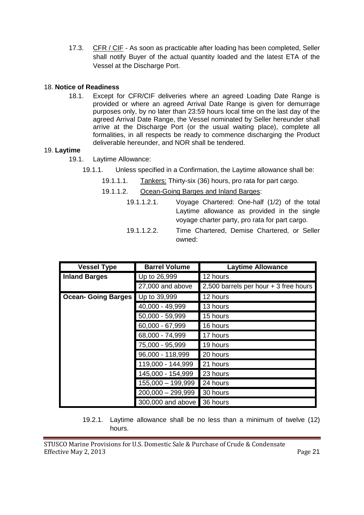17.3. CFR / CIF - As soon as practicable after loading has been completed, Seller shall notify Buyer of the actual quantity loaded and the latest ETA of the Vessel at the Discharge Port.

#### <span id="page-20-0"></span>18. **Notice of Readiness**

18.1. Except for CFR/CIF deliveries where an agreed Loading Date Range is provided or where an agreed Arrival Date Range is given for demurrage purposes only, by no later than 23:59 hours local time on the last day of the agreed Arrival Date Range, the Vessel nominated by Seller hereunder shall arrive at the Discharge Port (or the usual waiting place), complete all formalities, in all respects be ready to commence discharging the Product deliverable hereunder, and NOR shall be tendered.

#### <span id="page-20-1"></span>19. **Laytime**

- 19.1. Laytime Allowance:
	- 19.1.1. Unless specified in a Confirmation, the Laytime allowance shall be:
		- 19.1.1.1. Tankers: Thirty-six (36) hours, pro rata for part cargo.
		- 19.1.1.2. Ocean-Going Barges and Inland Barges:
			- 19.1.1.2.1. Voyage Chartered: One-half (1/2) of the total Laytime allowance as provided in the single voyage charter party, pro rata for part cargo.
			- 19.1.1.2.2. Time Chartered, Demise Chartered, or Seller owned:

| <b>Vessel Type</b>         | <b>Barrel Volume</b> | <b>Laytime Allowance</b>              |
|----------------------------|----------------------|---------------------------------------|
| <b>Inland Barges</b>       | Up to 26,999         | 12 hours                              |
|                            | 27,000 and above     | 2,500 barrels per hour + 3 free hours |
| <b>Ocean- Going Barges</b> | Up to 39,999         | 12 hours                              |
|                            | 40,000 - 49,999      | 13 hours                              |
|                            | 50,000 - 59,999      | 15 hours                              |
|                            | 60,000 - 67,999      | 16 hours                              |
|                            | 68,000 - 74,999      | 17 hours                              |
|                            | 75,000 - 95,999      | 19 hours                              |
|                            | 96,000 - 118,999     | 20 hours                              |
|                            | 119,000 - 144,999    | 21 hours                              |
|                            | 145,000 - 154,999    | 23 hours                              |
|                            | 155,000 - 199,999    | 24 hours                              |
|                            | $200,000 - 299,999$  | 30 hours                              |
|                            | 300,000 and above    | 36 hours                              |

19.2.1. Laytime allowance shall be no less than a minimum of twelve (12) hours.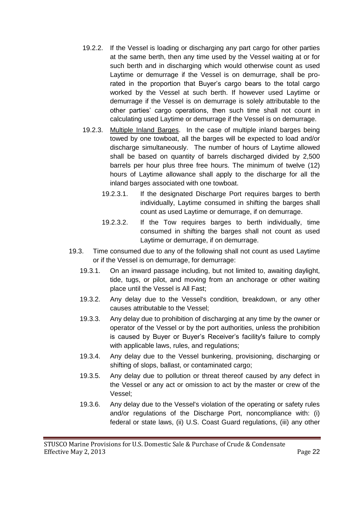- 19.2.2. If the Vessel is loading or discharging any part cargo for other parties at the same berth, then any time used by the Vessel waiting at or for such berth and in discharging which would otherwise count as used Laytime or demurrage if the Vessel is on demurrage, shall be prorated in the proportion that Buyer's cargo bears to the total cargo worked by the Vessel at such berth. If however used Laytime or demurrage if the Vessel is on demurrage is solely attributable to the other parties' cargo operations, then such time shall not count in calculating used Laytime or demurrage if the Vessel is on demurrage.
- 19.2.3. Multiple Inland Barges. In the case of multiple inland barges being towed by one towboat, all the barges will be expected to load and/or discharge simultaneously. The number of hours of Laytime allowed shall be based on quantity of barrels discharged divided by 2,500 barrels per hour plus three free hours. The minimum of twelve (12) hours of Laytime allowance shall apply to the discharge for all the inland barges associated with one towboat.
	- 19.2.3.1. If the designated Discharge Port requires barges to berth individually, Laytime consumed in shifting the barges shall count as used Laytime or demurrage, if on demurrage.
	- 19.2.3.2. If the Tow requires barges to berth individually, time consumed in shifting the barges shall not count as used Laytime or demurrage, if on demurrage.
- 19.3. Time consumed due to any of the following shall not count as used Laytime or if the Vessel is on demurrage, for demurrage:
	- 19.3.1. On an inward passage including, but not limited to, awaiting daylight, tide, tugs, or pilot, and moving from an anchorage or other waiting place until the Vessel is All Fast;
	- 19.3.2. Any delay due to the Vessel's condition, breakdown, or any other causes attributable to the Vessel;
	- 19.3.3. Any delay due to prohibition of discharging at any time by the owner or operator of the Vessel or by the port authorities, unless the prohibition is caused by Buyer or Buyer's Receiver's facility's failure to comply with applicable laws, rules, and regulations;
	- 19.3.4. Any delay due to the Vessel bunkering, provisioning, discharging or shifting of slops, ballast, or contaminated cargo;
	- 19.3.5. Any delay due to pollution or threat thereof caused by any defect in the Vessel or any act or omission to act by the master or crew of the Vessel;
	- 19.3.6. Any delay due to the Vessel's violation of the operating or safety rules and/or regulations of the Discharge Port, noncompliance with: (i) federal or state laws, (ii) U.S. Coast Guard regulations, (iii) any other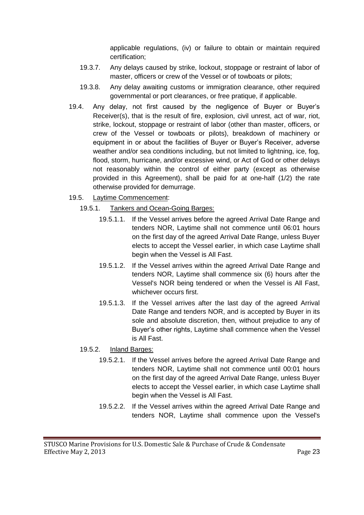applicable regulations, (iv) or failure to obtain or maintain required certification;

- 19.3.7. Any delays caused by strike, lockout, stoppage or restraint of labor of master, officers or crew of the Vessel or of towboats or pilots;
- 19.3.8. Any delay awaiting customs or immigration clearance, other required governmental or port clearances, or free pratique, if applicable.
- 19.4. Any delay, not first caused by the negligence of Buyer or Buyer's Receiver(s), that is the result of fire, explosion, civil unrest, act of war, riot, strike, lockout, stoppage or restraint of labor (other than master, officers, or crew of the Vessel or towboats or pilots), breakdown of machinery or equipment in or about the facilities of Buyer or Buyer's Receiver, adverse weather and/or sea conditions including, but not limited to lightning, ice, fog, flood, storm, hurricane, and/or excessive wind, or Act of God or other delays not reasonably within the control of either party (except as otherwise provided in this Agreement), shall be paid for at one-half (1/2) the rate otherwise provided for demurrage.
- 19.5. Laytime Commencement:
	- 19.5.1. Tankers and Ocean-Going Barges:
		- 19.5.1.1. If the Vessel arrives before the agreed Arrival Date Range and tenders NOR, Laytime shall not commence until 06:01 hours on the first day of the agreed Arrival Date Range, unless Buyer elects to accept the Vessel earlier, in which case Laytime shall begin when the Vessel is All Fast.
		- 19.5.1.2. If the Vessel arrives within the agreed Arrival Date Range and tenders NOR, Laytime shall commence six (6) hours after the Vessel's NOR being tendered or when the Vessel is All Fast, whichever occurs first.
		- 19.5.1.3. If the Vessel arrives after the last day of the agreed Arrival Date Range and tenders NOR, and is accepted by Buyer in its sole and absolute discretion, then, without prejudice to any of Buyer's other rights, Laytime shall commence when the Vessel is All Fast.
	- 19.5.2. Inland Barges:
		- 19.5.2.1. If the Vessel arrives before the agreed Arrival Date Range and tenders NOR, Laytime shall not commence until 00:01 hours on the first day of the agreed Arrival Date Range, unless Buyer elects to accept the Vessel earlier, in which case Laytime shall begin when the Vessel is All Fast.
		- 19.5.2.2. If the Vessel arrives within the agreed Arrival Date Range and tenders NOR, Laytime shall commence upon the Vessel's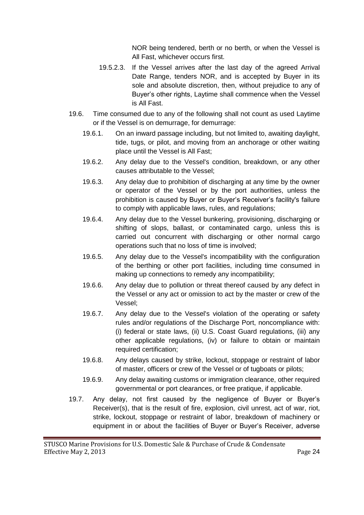NOR being tendered, berth or no berth, or when the Vessel is All Fast, whichever occurs first.

- 19.5.2.3. If the Vessel arrives after the last day of the agreed Arrival Date Range, tenders NOR, and is accepted by Buyer in its sole and absolute discretion, then, without prejudice to any of Buyer's other rights, Laytime shall commence when the Vessel is All Fast.
- 19.6. Time consumed due to any of the following shall not count as used Laytime or if the Vessel is on demurrage, for demurrage:
	- 19.6.1. On an inward passage including, but not limited to, awaiting daylight, tide, tugs, or pilot, and moving from an anchorage or other waiting place until the Vessel is All Fast;
	- 19.6.2. Any delay due to the Vessel's condition, breakdown, or any other causes attributable to the Vessel;
	- 19.6.3. Any delay due to prohibition of discharging at any time by the owner or operator of the Vessel or by the port authorities, unless the prohibition is caused by Buyer or Buyer's Receiver's facility's failure to comply with applicable laws, rules, and regulations;
	- 19.6.4. Any delay due to the Vessel bunkering, provisioning, discharging or shifting of slops, ballast, or contaminated cargo, unless this is carried out concurrent with discharging or other normal cargo operations such that no loss of time is involved;
	- 19.6.5. Any delay due to the Vessel's incompatibility with the configuration of the berthing or other port facilities, including time consumed in making up connections to remedy any incompatibility;
	- 19.6.6. Any delay due to pollution or threat thereof caused by any defect in the Vessel or any act or omission to act by the master or crew of the Vessel;
	- 19.6.7. Any delay due to the Vessel's violation of the operating or safety rules and/or regulations of the Discharge Port, noncompliance with: (i) federal or state laws, (ii) U.S. Coast Guard regulations, (iii) any other applicable regulations, (iv) or failure to obtain or maintain required certification;
	- 19.6.8. Any delays caused by strike, lockout, stoppage or restraint of labor of master, officers or crew of the Vessel or of tugboats or pilots;
	- 19.6.9. Any delay awaiting customs or immigration clearance, other required governmental or port clearances, or free pratique, if applicable.
- 19.7. Any delay, not first caused by the negligence of Buyer or Buyer's Receiver(s), that is the result of fire, explosion, civil unrest, act of war, riot, strike, lockout, stoppage or restraint of labor, breakdown of machinery or equipment in or about the facilities of Buyer or Buyer's Receiver, adverse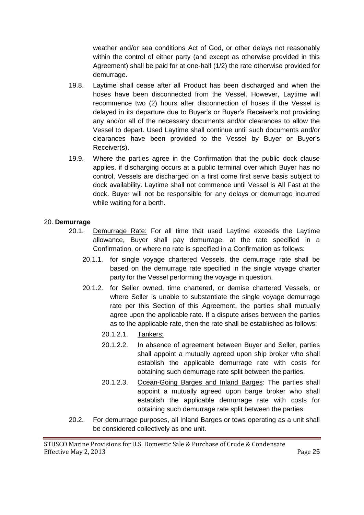weather and/or sea conditions Act of God, or other delays not reasonably within the control of either party (and except as otherwise provided in this Agreement) shall be paid for at one-half (1/2) the rate otherwise provided for demurrage.

- 19.8. Laytime shall cease after all Product has been discharged and when the hoses have been disconnected from the Vessel. However, Laytime will recommence two (2) hours after disconnection of hoses if the Vessel is delayed in its departure due to Buyer's or Buyer's Receiver's not providing any and/or all of the necessary documents and/or clearances to allow the Vessel to depart. Used Laytime shall continue until such documents and/or clearances have been provided to the Vessel by Buyer or Buyer's Receiver(s).
- 19.9. Where the parties agree in the Confirmation that the public dock clause applies, if discharging occurs at a public terminal over which Buyer has no control, Vessels are discharged on a first come first serve basis subject to dock availability. Laytime shall not commence until Vessel is All Fast at the dock. Buyer will not be responsible for any delays or demurrage incurred while waiting for a berth.

#### <span id="page-24-0"></span>20. **Demurrage**

- 20.1. Demurrage Rate: For all time that used Laytime exceeds the Laytime allowance, Buyer shall pay demurrage, at the rate specified in a Confirmation, or where no rate is specified in a Confirmation as follows:
	- 20.1.1. for single voyage chartered Vessels, the demurrage rate shall be based on the demurrage rate specified in the single voyage charter party for the Vessel performing the voyage in question.
	- 20.1.2. for Seller owned, time chartered, or demise chartered Vessels, or where Seller is unable to substantiate the single voyage demurrage rate per this Section of this Agreement, the parties shall mutually agree upon the applicable rate. If a dispute arises between the parties as to the applicable rate, then the rate shall be established as follows:
		- 20.1.2.1. Tankers:
		- 20.1.2.2. In absence of agreement between Buyer and Seller, parties shall appoint a mutually agreed upon ship broker who shall establish the applicable demurrage rate with costs for obtaining such demurrage rate split between the parties.
		- 20.1.2.3. Ocean-Going Barges and Inland Barges: The parties shall appoint a mutually agreed upon barge broker who shall establish the applicable demurrage rate with costs for obtaining such demurrage rate split between the parties.
- 20.2. For demurrage purposes, all Inland Barges or tows operating as a unit shall be considered collectively as one unit.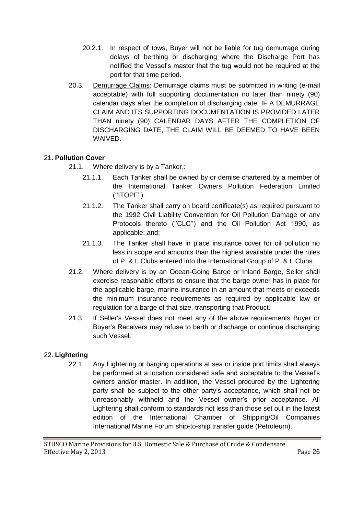- 20.2.1. In respect of tows, Buyer will not be liable for tug demurrage during delays of berthing or discharging where the Discharge Port has notified the Vessel's master that the tug would not be required at the port for that time period.
- 20.3. Demurrage Claims: Demurrage claims must be submitted in writing (e-mail acceptable) with full supporting documentation no later than ninety (90) calendar days after the completion of discharging date. IF A DEMURRAGE CLAIM AND ITS SUPPORTING DOCUMENTATION IS PROVIDED LATER THAN ninety (90) CALENDAR DAYS AFTER THE COMPLETION OF DISCHARGING DATE, THE CLAIM WILL BE DEEMED TO HAVE BEEN WAIVED.

## <span id="page-25-0"></span>21. **Pollution Cover**

- 21.1. Where delivery is by a Tanker,:
	- 21.1.1. Each Tanker shall be owned by or demise chartered by a member of the International Tanker Owners Pollution Federation Limited (''ITOPF'').
	- 21.1.2. The Tanker shall carry on board certificate(s) as required pursuant to the 1992 Civil Liability Convention for Oil Pollution Damage or any Protocols thereto ("CLC") and the Oil Pollution Act 1990, as applicable; and;
	- 21.1.3. The Tanker shall have in place insurance cover for oil pollution no less in scope and amounts than the highest available under the rules of P. & I. Clubs entered into the International Group of P. & I. Clubs.
- 21.2. Where delivery is by an Ocean-Going Barge or Inland Barge, Seller shall exercise reasonable efforts to ensure that the barge owner has in place for the applicable barge, marine insurance in an amount that meets or exceeds the minimum insurance requirements as required by applicable law or regulation for a barge of that size, transporting that Product.
- 21.3. If Seller's Vessel does not meet any of the above requirements Buyer or Buyer's Receivers may refuse to berth or discharge or continue discharging such Vessel.

#### <span id="page-25-1"></span>22. **Lightering**

22.1. Any Lightering or barging operations at sea or inside port limits shall always be performed at a location considered safe and acceptable to the Vessel's owners and/or master. In addition, the Vessel procured by the Lightering party shall be subject to the other party's acceptance, which shall not be unreasonably withheld and the Vessel owner's prior acceptance. All Lightering shall conform to standards not less than those set out in the latest edition of the International Chamber of Shipping/Oil Companies International Marine Forum ship-to-ship transfer guide (Petroleum).

STUSCO Marine Provisions for U.S. Domestic Sale & Purchase of Crude & Condensate Effective May 2, 2013 **Page 26**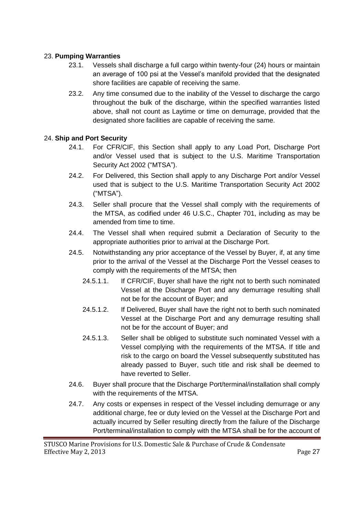#### <span id="page-26-0"></span>23. **Pumping Warranties**

- 23.1. Vessels shall discharge a full cargo within twenty-four (24) hours or maintain an average of 100 psi at the Vessel's manifold provided that the designated shore facilities are capable of receiving the same.
- 23.2. Any time consumed due to the inability of the Vessel to discharge the cargo throughout the bulk of the discharge, within the specified warranties listed above, shall not count as Laytime or time on demurrage, provided that the designated shore facilities are capable of receiving the same.

#### 24. **Ship and Port Security**

- 24.1. For CFR/CIF, this Section shall apply to any Load Port, Discharge Port and/or Vessel used that is subject to the U.S. Maritime Transportation Security Act 2002 ("MTSA").
- 24.2. For Delivered, this Section shall apply to any Discharge Port and/or Vessel used that is subject to the U.S. Maritime Transportation Security Act 2002 ("MTSA").
- 24.3. Seller shall procure that the Vessel shall comply with the requirements of the MTSA, as codified under 46 U.S.C., Chapter 701, including as may be amended from time to time.
- 24.4. The Vessel shall when required submit a Declaration of Security to the appropriate authorities prior to arrival at the Discharge Port.
- 24.5. Notwithstanding any prior acceptance of the Vessel by Buyer, if, at any time prior to the arrival of the Vessel at the Discharge Port the Vessel ceases to comply with the requirements of the MTSA; then
	- 24.5.1.1. If CFR/CIF, Buyer shall have the right not to berth such nominated Vessel at the Discharge Port and any demurrage resulting shall not be for the account of Buyer; and
	- 24.5.1.2. If Delivered, Buyer shall have the right not to berth such nominated Vessel at the Discharge Port and any demurrage resulting shall not be for the account of Buyer; and
	- 24.5.1.3. Seller shall be obliged to substitute such nominated Vessel with a Vessel complying with the requirements of the MTSA. If title and risk to the cargo on board the Vessel subsequently substituted has already passed to Buyer, such title and risk shall be deemed to have reverted to Seller.
- 24.6. Buyer shall procure that the Discharge Port/terminal/installation shall comply with the requirements of the MTSA.
- 24.7. Any costs or expenses in respect of the Vessel including demurrage or any additional charge, fee or duty levied on the Vessel at the Discharge Port and actually incurred by Seller resulting directly from the failure of the Discharge Port/terminal/installation to comply with the MTSA shall be for the account of

STUSCO Marine Provisions for U.S. Domestic Sale & Purchase of Crude & Condensate Effective May 2, 2013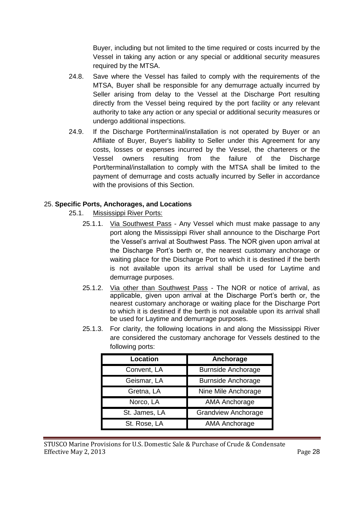Buyer, including but not limited to the time required or costs incurred by the Vessel in taking any action or any special or additional security measures required by the MTSA.

- 24.8. Save where the Vessel has failed to comply with the requirements of the MTSA, Buyer shall be responsible for any demurrage actually incurred by Seller arising from delay to the Vessel at the Discharge Port resulting directly from the Vessel being required by the port facility or any relevant authority to take any action or any special or additional security measures or undergo additional inspections.
- 24.9. If the Discharge Port/terminal/installation is not operated by Buyer or an Affiliate of Buyer, Buyer's liability to Seller under this Agreement for any costs, losses or expenses incurred by the Vessel, the charterers or the Vessel owners resulting from the failure of the Discharge Port/terminal/installation to comply with the MTSA shall be limited to the payment of demurrage and costs actually incurred by Seller in accordance with the provisions of this Section.

#### <span id="page-27-0"></span>25. **Specific Ports, Anchorages, and Locations**

- 25.1. Mississippi River Ports:
	- 25.1.1. Via Southwest Pass Any Vessel which must make passage to any port along the Mississippi River shall announce to the Discharge Port the Vessel's arrival at Southwest Pass. The NOR given upon arrival at the Discharge Port's berth or, the nearest customary anchorage or waiting place for the Discharge Port to which it is destined if the berth is not available upon its arrival shall be used for Laytime and demurrage purposes.
	- 25.1.2. Via other than Southwest Pass The NOR or notice of arrival, as applicable, given upon arrival at the Discharge Port's berth or, the nearest customary anchorage or waiting place for the Discharge Port to which it is destined if the berth is not available upon its arrival shall be used for Laytime and demurrage purposes.
	- 25.1.3. For clarity, the following locations in and along the Mississippi River are considered the customary anchorage for Vessels destined to the following ports:

| Location      | Anchorage                  |
|---------------|----------------------------|
| Convent, LA   | <b>Burnside Anchorage</b>  |
| Geismar, LA   | <b>Burnside Anchorage</b>  |
| Gretna, LA    | Nine Mile Anchorage        |
| Norco, LA     | AMA Anchorage              |
| St. James, LA | <b>Grandview Anchorage</b> |
| St. Rose, LA  | AMA Anchorage              |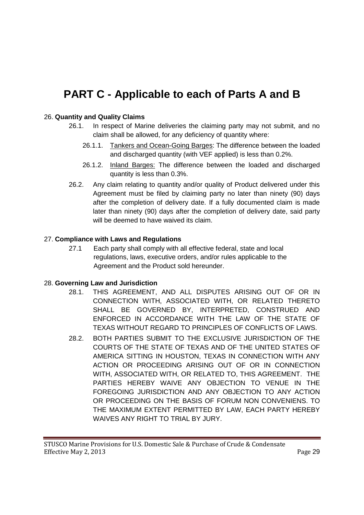# <span id="page-28-0"></span>**PART C - Applicable to each of Parts A and B**

### <span id="page-28-1"></span>26. **Quantity and Quality Claims**

- 26.1. In respect of Marine deliveries the claiming party may not submit, and no claim shall be allowed, for any deficiency of quantity where:
	- 26.1.1. Tankers and Ocean-Going Barges: The difference between the loaded and discharged quantity (with VEF applied) is less than 0.2%.
	- 26.1.2. Inland Barges: The difference between the loaded and discharged quantity is less than 0.3%.
- 26.2. Any claim relating to quantity and/or quality of Product delivered under this Agreement must be filed by claiming party no later than ninety (90) days after the completion of delivery date. If a fully documented claim is made later than ninety (90) days after the completion of delivery date, said party will be deemed to have waived its claim.

#### 27. **Compliance with Laws and Regulations**

27.1 Each party shall comply with all effective federal, state and local regulations, laws, executive orders, and/or rules applicable to the Agreement and the Product sold hereunder.

#### <span id="page-28-2"></span>28. **Governing Law and Jurisdiction**

- 28.1. THIS AGREEMENT, AND ALL DISPUTES ARISING OUT OF OR IN CONNECTION WITH, ASSOCIATED WITH, OR RELATED THERETO SHALL BE GOVERNED BY, INTERPRETED, CONSTRUED AND ENFORCED IN ACCORDANCE WITH THE LAW OF THE STATE OF TEXAS WITHOUT REGARD TO PRINCIPLES OF CONFLICTS OF LAWS.
- 28.2. BOTH PARTIES SUBMIT TO THE EXCLUSIVE JURISDICTION OF THE COURTS OF THE STATE OF TEXAS AND OF THE UNITED STATES OF AMERICA SITTING IN HOUSTON, TEXAS IN CONNECTION WITH ANY ACTION OR PROCEEDING ARISING OUT OF OR IN CONNECTION WITH, ASSOCIATED WITH, OR RELATED TO, THIS AGREEMENT. THE PARTIES HEREBY WAIVE ANY OBJECTION TO VENUE IN THE FOREGOING JURISDICTION AND ANY OBJECTION TO ANY ACTION OR PROCEEDING ON THE BASIS OF FORUM NON CONVENIENS. TO THE MAXIMUM EXTENT PERMITTED BY LAW, EACH PARTY HEREBY WAIVES ANY RIGHT TO TRIAL BY JURY.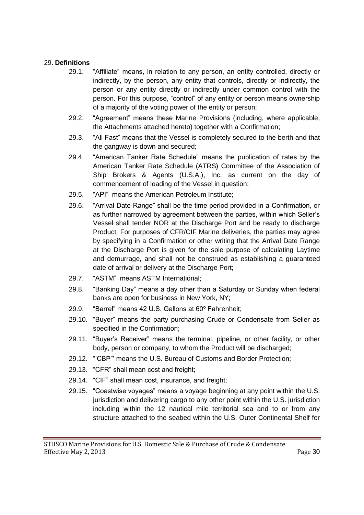#### <span id="page-29-0"></span>29. **Definitions**

- 29.1. "Affiliate" means, in relation to any person, an entity controlled, directly or indirectly, by the person, any entity that controls, directly or indirectly, the person or any entity directly or indirectly under common control with the person. For this purpose, "control" of any entity or person means ownership of a majority of the voting power of the entity or person;
- 29.2. "Agreement" means these Marine Provisions (including, where applicable, the Attachments attached hereto) together with a Confirmation;
- 29.3. "All Fast" means that the Vessel is completely secured to the berth and that the gangway is down and secured;
- 29.4. "American Tanker Rate Schedule" means the publication of rates by the American Tanker Rate Schedule (ATRS) Committee of the Association of Ship Brokers & Agents (U.S.A.), Inc. as current on the day of commencement of loading of the Vessel in question;
- 29.5. "API" means the American Petroleum Institute;
- 29.6. "Arrival Date Range" shall be the time period provided in a Confirmation, or as further narrowed by agreement between the parties, within which Seller's Vessel shall tender NOR at the Discharge Port and be ready to discharge Product. For purposes of CFR/CIF Marine deliveries, the parties may agree by specifying in a Confirmation or other writing that the Arrival Date Range at the Discharge Port is given for the sole purpose of calculating Laytime and demurrage, and shall not be construed as establishing a guaranteed date of arrival or delivery at the Discharge Port;
- 29.7. "ASTM" means ASTM International;
- 29.8. "Banking Day" means a day other than a Saturday or Sunday when federal banks are open for business in New York, NY;
- 29.9. "Barrel" means 42 U.S. Gallons at 60º Fahrenheit;
- 29.10. "Buyer" means the party purchasing Crude or Condensate from Seller as specified in the Confirmation;
- 29.11. "Buyer's Receiver" means the terminal, pipeline, or other facility, or other body, person or company, to whom the Product will be discharged;
- 29.12. "'CBP"' means the U.S. Bureau of Customs and Border Protection;
- 29.13. "CFR" shall mean cost and freight;
- 29.14. "CIF" shall mean cost, insurance, and freight;
- 29.15. "Coastwise voyages" means a voyage beginning at any point within the U.S. jurisdiction and delivering cargo to any other point within the U.S. jurisdiction including within the 12 nautical mile territorial sea and to or from any structure attached to the seabed within the U.S. Outer Continental Shelf for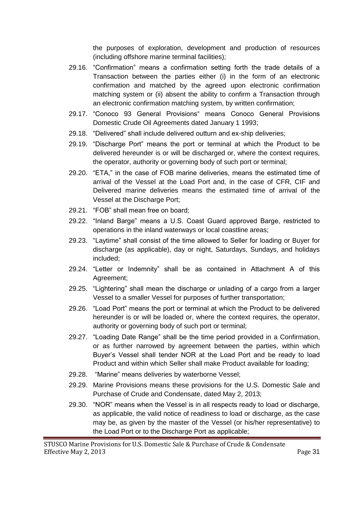the purposes of exploration, development and production of resources (including offshore marine terminal facilities);

- 29.16. "Confirmation" means a confirmation setting forth the trade details of a Transaction between the parties either (i) in the form of an electronic confirmation and matched by the agreed upon electronic confirmation matching system or (ii) absent the ability to confirm a Transaction through an electronic confirmation matching system, by written confirmation;
- 29.17. "Conoco 93 General Provisions" means Conoco General Provisions Domestic Crude Oil Agreements dated January 1 1993;
- 29.18. "Delivered" shall include delivered outturn and ex-ship deliveries;
- 29.19. "Discharge Port" means the port or terminal at which the Product to be delivered hereunder is or will be discharged or, where the context requires, the operator, authority or governing body of such port or terminal;
- 29.20. "ETA," in the case of FOB marine deliveries, means the estimated time of arrival of the Vessel at the Load Port and, in the case of CFR, CIF and Delivered marine deliveries means the estimated time of arrival of the Vessel at the Discharge Port;
- 29.21. "FOB" shall mean free on board;
- 29.22. "Inland Barge" means a U.S. Coast Guard approved Barge, restricted to operations in the inland waterways or local coastline areas;
- 29.23. "Laytime" shall consist of the time allowed to Seller for loading or Buyer for discharge (as applicable), day or night, Saturdays, Sundays, and holidays included;
- 29.24. "Letter or Indemnity" shall be as contained in Attachment A of this Agreement;
- 29.25. "Lightering" shall mean the discharge or unlading of a cargo from a larger Vessel to a smaller Vessel for purposes of further transportation;
- 29.26. "Load Port" means the port or terminal at which the Product to be delivered hereunder is or will be loaded or, where the context requires, the operator, authority or governing body of such port or terminal;
- 29.27. "Loading Date Range" shall be the time period provided in a Confirmation, or as further narrowed by agreement between the parties, within which Buyer's Vessel shall tender NOR at the Load Port and be ready to load Product and within which Seller shall make Product available for loading;
- 29.28. "Marine" means deliveries by waterborne Vessel;
- 29.29. Marine Provisions means these provisions for the U.S. Domestic Sale and Purchase of Crude and Condensate, dated May 2, 2013;
- 29.30. "NOR" means when the Vessel is in all respects ready to load or discharge, as applicable, the valid notice of readiness to load or discharge, as the case may be, as given by the master of the Vessel (or his/her representative) to the Load Port or to the Discharge Port as applicable;

STUSCO Marine Provisions for U.S. Domestic Sale & Purchase of Crude & Condensate Effective May 2, 2013 Page 31